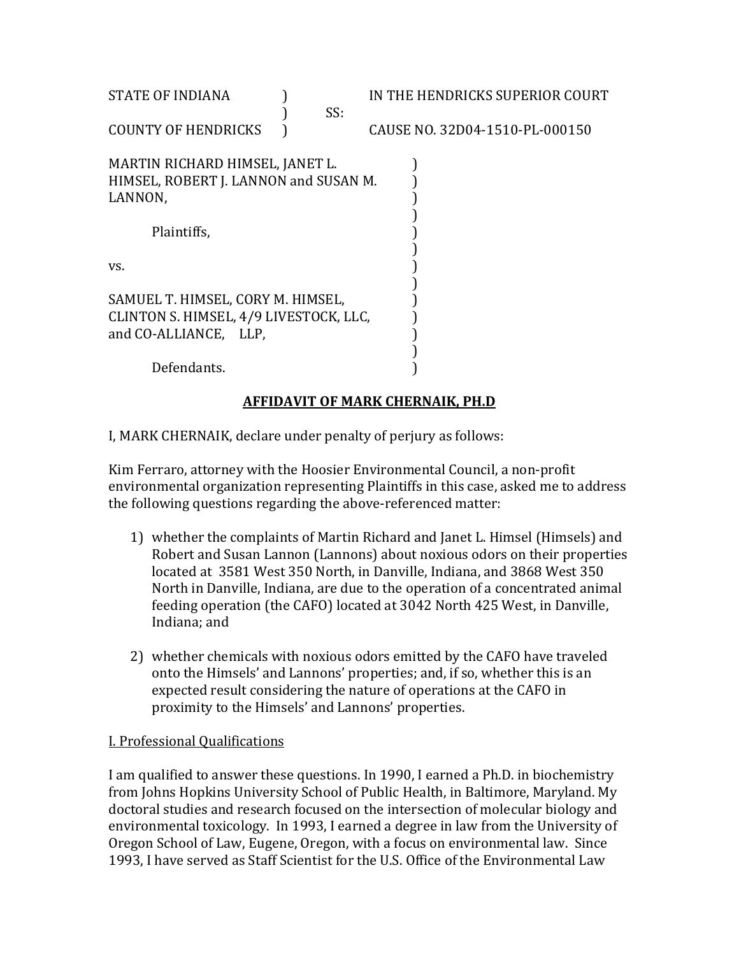| IN THE HENDRICKS SUPERIOR COURT  |  |  |  |  |  |  |  |
|----------------------------------|--|--|--|--|--|--|--|
|                                  |  |  |  |  |  |  |  |
| CAUSE NO. 32D04-1510-PL-000150   |  |  |  |  |  |  |  |
|                                  |  |  |  |  |  |  |  |
|                                  |  |  |  |  |  |  |  |
|                                  |  |  |  |  |  |  |  |
|                                  |  |  |  |  |  |  |  |
|                                  |  |  |  |  |  |  |  |
|                                  |  |  |  |  |  |  |  |
|                                  |  |  |  |  |  |  |  |
|                                  |  |  |  |  |  |  |  |
|                                  |  |  |  |  |  |  |  |
|                                  |  |  |  |  |  |  |  |
|                                  |  |  |  |  |  |  |  |
|                                  |  |  |  |  |  |  |  |
|                                  |  |  |  |  |  |  |  |
| AFFIDAVIT OF MARK CHERNAIK, PH.D |  |  |  |  |  |  |  |
|                                  |  |  |  |  |  |  |  |

### I, MARK CHERNAIK, declare under penalty of perjury as follows:

Kim Ferraro, attorney with the Hoosier Environmental Council, a non-profit environmental organization representing Plaintiffs in this case, asked me to address the following questions regarding the above-referenced matter:

- 1) whether the complaints of Martin Richard and Janet L. Himsel (Himsels) and Robert and Susan Lannon (Lannons) about noxious odors on their properties located at 3581 West 350 North, in Danville, Indiana, and 3868 West 350 North in Danville, Indiana, are due to the operation of a concentrated animal feeding operation (the CAFO) located at 3042 North 425 West, in Danville, Indiana; and
- 2) whether chemicals with noxious odors emitted by the CAFO have traveled onto the Himsels' and Lannons' properties; and, if so, whether this is an expected result considering the nature of operations at the CAFO in proximity to the Himsels' and Lannons' properties.

#### I. Professional Qualifications

I am qualified to answer these questions. In 1990, I earned a Ph.D. in biochemistry from Johns Hopkins University School of Public Health, in Baltimore, Maryland. My doctoral studies and research focused on the intersection of molecular biology and environmental toxicology. In 1993, I earned a degree in law from the University of Oregon School of Law, Eugene, Oregon, with a focus on environmental law. Since 1993, I have served as Staff Scientist for the U.S. Office of the Environmental Law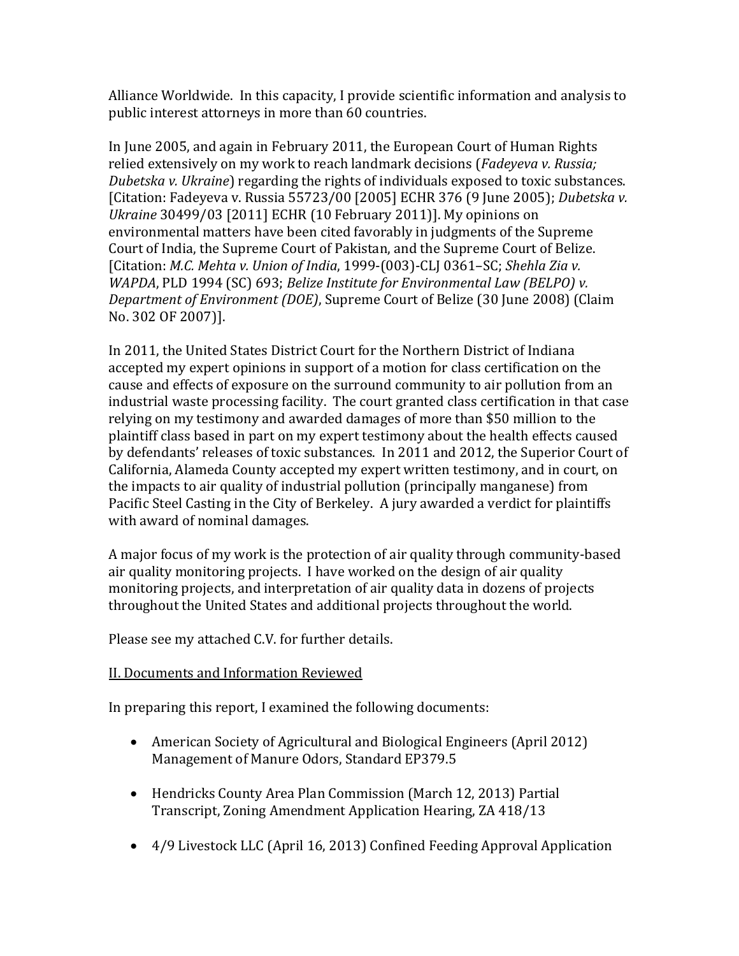Alliance Worldwide. In this capacity, I provide scientific information and analysis to public interest attorneys in more than 60 countries.

In June 2005, and again in February 2011, the European Court of Human Rights relied extensively on my work to reach landmark decisions (*Fadeyeva v. Russia; Dubetska v. Ukraine*) regarding the rights of individuals exposed to toxic substances. [Citation: Fadeyeva v. Russia 55723/00 [2005] ECHR 376 (9 June 2005); *Dubetska v. Ukraine* 30499/03 [2011] ECHR (10 February 2011)]. My opinions on environmental matters have been cited favorably in judgments of the Supreme Court of India, the Supreme Court of Pakistan, and the Supreme Court of Belize. [Citation: *M.C. Mehta v. Union of India*, 1999-(003)-CLJ 0361–SC; *Shehla Zia v. WAPDA*, PLD 1994 (SC) 693; *Belize Institute for Environmental Law (BELPO) v. Department of Environment (DOE)*, Supreme Court of Belize (30 June 2008) (Claim No. 302 OF 2007)].

In 2011, the United States District Court for the Northern District of Indiana accepted my expert opinions in support of a motion for class certification on the cause and effects of exposure on the surround community to air pollution from an industrial waste processing facility. The court granted class certification in that case relying on my testimony and awarded damages of more than \$50 million to the plaintiff class based in part on my expert testimony about the health effects caused by defendants' releases of toxic substances. In 2011 and 2012, the Superior Court of California, Alameda County accepted my expert written testimony, and in court, on the impacts to air quality of industrial pollution (principally manganese) from Pacific Steel Casting in the City of Berkeley. A jury awarded a verdict for plaintiffs with award of nominal damages.

A major focus of my work is the protection of air quality through community-based air quality monitoring projects. I have worked on the design of air quality monitoring projects, and interpretation of air quality data in dozens of projects throughout the United States and additional projects throughout the world.

Please see my attached C.V. for further details.

## II. Documents and Information Reviewed

In preparing this report, I examined the following documents:

- American Society of Agricultural and Biological Engineers (April 2012) Management of Manure Odors, Standard EP379.5
- Hendricks County Area Plan Commission (March 12, 2013) Partial Transcript, Zoning Amendment Application Hearing, ZA 418/13
- 4/9 Livestock LLC (April 16, 2013) Confined Feeding Approval Application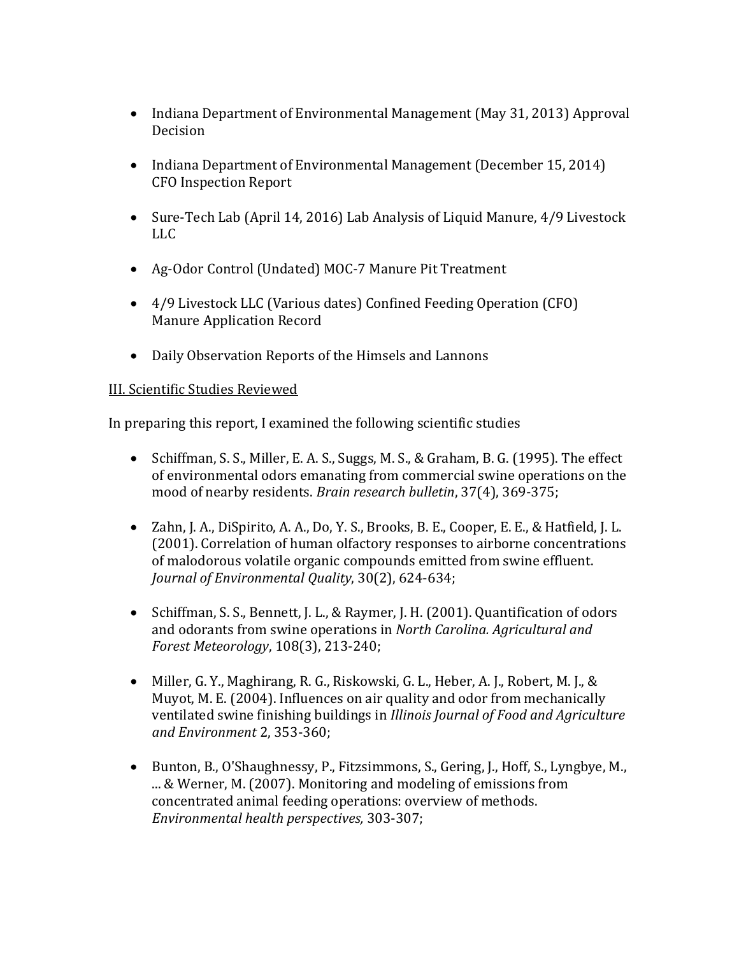- Indiana Department of Environmental Management (May 31, 2013) Approval Decision
- Indiana Department of Environmental Management (December 15, 2014) CFO Inspection Report
- Sure-Tech Lab (April 14, 2016) Lab Analysis of Liquid Manure, 4/9 Livestock LLC
- Ag-Odor Control (Undated) MOC-7 Manure Pit Treatment
- 4/9 Livestock LLC (Various dates) Confined Feeding Operation (CFO) Manure Application Record
- Daily Observation Reports of the Himsels and Lannons

#### III. Scientific Studies Reviewed

In preparing this report, I examined the following scientific studies

- Schiffman, S. S., Miller, E. A. S., Suggs, M. S., & Graham, B. G. (1995). The effect of environmental odors emanating from commercial swine operations on the mood of nearby residents. *Brain research bulletin*, 37(4), 369-375;
- Zahn, J. A., DiSpirito, A. A., Do, Y. S., Brooks, B. E., Cooper, E. E., & Hatfield, J. L. (2001). Correlation of human olfactory responses to airborne concentrations of malodorous volatile organic compounds emitted from swine effluent. *Journal of Environmental Quality*, 30(2), 624-634;
- Schiffman, S. S., Bennett, J. L., & Raymer, J. H. (2001). Quantification of odors and odorants from swine operations in *North Carolina. Agricultural and Forest Meteorology*, 108(3), 213-240;
- Miller, G. Y., Maghirang, R. G., Riskowski, G. L., Heber, A. J., Robert, M. J., & Muyot, M. E. (2004). Influences on air quality and odor from mechanically ventilated swine finishing buildings in *Illinois Journal of Food and Agriculture and Environment* 2, 353-360;
- Bunton, B., O'Shaughnessy, P., Fitzsimmons, S., Gering, J., Hoff, S., Lyngbye, M., ... & Werner, M. (2007). Monitoring and modeling of emissions from concentrated animal feeding operations: overview of methods. *Environmental health perspectives,* 303-307;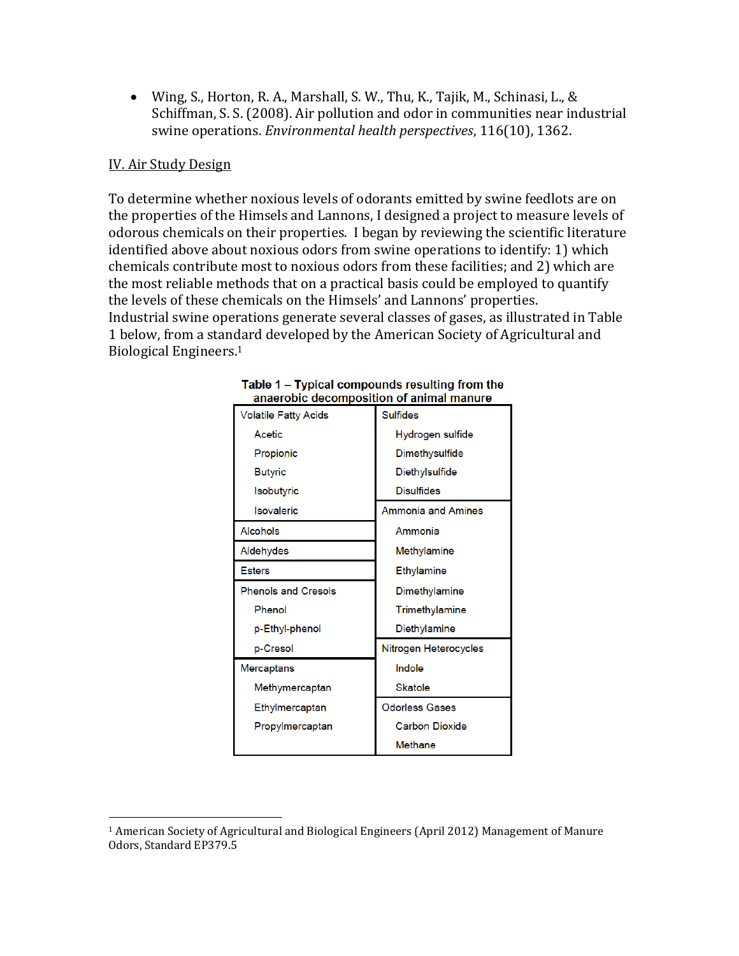Wing, S., Horton, R. A., Marshall, S. W., Thu, K., Tajik, M., Schinasi, L., & Schiffman, S. S. (2008). Air pollution and odor in communities near industrial swine operations. *Environmental health perspectives*, 116(10), 1362.

#### IV. Air Study Design

 $\overline{a}$ 

To determine whether noxious levels of odorants emitted by swine feedlots are on the properties of the Himsels and Lannons, I designed a project to measure levels of odorous chemicals on their properties. I began by reviewing the scientific literature identified above about noxious odors from swine operations to identify: 1) which chemicals contribute most to noxious odors from these facilities; and 2) which are the most reliable methods that on a practical basis could be employed to quantify the levels of these chemicals on the Himsels' and Lannons' properties. Industrial swine operations generate several classes of gases, as illustrated in Table 1 below, from a standard developed by the American Society of Agricultural and Biological Engineers.<sup>1</sup>

| Volatile Fatty Acids       | <b>Sulfides</b>           |
|----------------------------|---------------------------|
| Acetic                     | Hydrogen sulfide          |
| Propionic                  | Dimethysulfide            |
| <b>Butyric</b>             | Diethylsulfide            |
| Isobutyric                 | <b>Disulfides</b>         |
| Isovaleric                 | <b>Ammonia and Amines</b> |
| Alcohols                   | Ammonia                   |
| Aldehydes                  | Methylamine               |
| <b>Esters</b>              | Ethylamine                |
| <b>Phenols and Cresols</b> | Dimethylamine             |
| Phenol                     | Trimethylamine            |
| p-Ethyl-phenol             | Diethylamine              |
| p-Cresol                   | Nitrogen Heterocycles     |
| Mercaptans                 | Indole                    |
| Methymercaptan             | <b>Skatole</b>            |
| Ethylmercaptan             | <b>Odorless Gases</b>     |
| Propylmercaptan            | <b>Carbon Dioxide</b>     |
|                            | Methane                   |

#### Table 1 - Typical compounds resulting from the anaerobic decomposition of animal manure

<sup>1</sup> American Society of Agricultural and Biological Engineers (April 2012) Management of Manure Odors, Standard EP379.5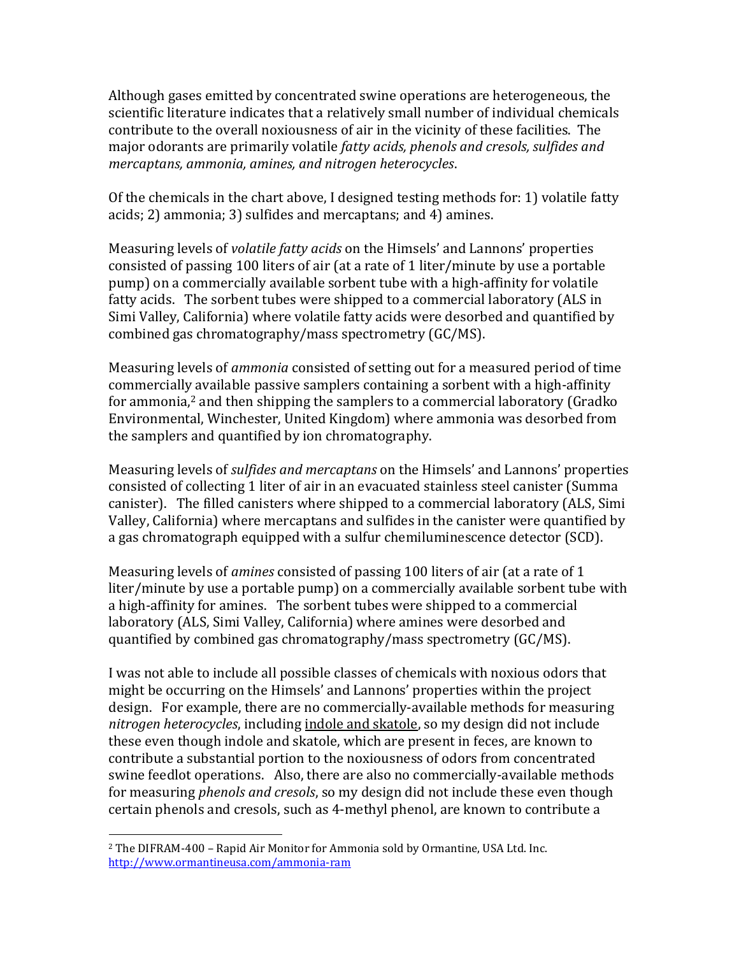Although gases emitted by concentrated swine operations are heterogeneous, the scientific literature indicates that a relatively small number of individual chemicals contribute to the overall noxiousness of air in the vicinity of these facilities. The major odorants are primarily volatile *fatty acids, phenols and cresols, sulfides and mercaptans, ammonia, amines, and nitrogen heterocycles*.

Of the chemicals in the chart above, I designed testing methods for: 1) volatile fatty acids; 2) ammonia; 3) sulfides and mercaptans; and 4) amines.

Measuring levels of *volatile fatty acids* on the Himsels' and Lannons' properties consisted of passing 100 liters of air (at a rate of 1 liter/minute by use a portable pump) on a commercially available sorbent tube with a high-affinity for volatile fatty acids. The sorbent tubes were shipped to a commercial laboratory (ALS in Simi Valley, California) where volatile fatty acids were desorbed and quantified by combined gas chromatography/mass spectrometry (GC/MS).

Measuring levels of *ammonia* consisted of setting out for a measured period of time commercially available passive samplers containing a sorbent with a high-affinity for ammonia,<sup>2</sup> and then shipping the samplers to a commercial laboratory (Gradko Environmental, Winchester, United Kingdom) where ammonia was desorbed from the samplers and quantified by ion chromatography.

Measuring levels of *sulfides and mercaptans* on the Himsels' and Lannons' properties consisted of collecting 1 liter of air in an evacuated stainless steel canister (Summa canister). The filled canisters where shipped to a commercial laboratory (ALS, Simi Valley, California) where mercaptans and sulfides in the canister were quantified by a gas chromatograph equipped with a sulfur chemiluminescence detector (SCD).

Measuring levels of *amines* consisted of passing 100 liters of air (at a rate of 1 liter/minute by use a portable pump) on a commercially available sorbent tube with a high-affinity for amines. The sorbent tubes were shipped to a commercial laboratory (ALS, Simi Valley, California) where amines were desorbed and quantified by combined gas chromatography/mass spectrometry (GC/MS).

I was not able to include all possible classes of chemicals with noxious odors that might be occurring on the Himsels' and Lannons' properties within the project design. For example, there are no commercially-available methods for measuring *nitrogen heterocycles*, including indole and skatole, so my design did not include these even though indole and skatole, which are present in feces, are known to contribute a substantial portion to the noxiousness of odors from concentrated swine feedlot operations. Also, there are also no commercially-available methods for measuring *phenols and cresols*, so my design did not include these even though certain phenols and cresols, such as 4-methyl phenol, are known to contribute a

 $\overline{a}$ 

<sup>2</sup> The DIFRAM-400 – Rapid Air Monitor for Ammonia sold by Ormantine, USA Ltd. Inc. <http://www.ormantineusa.com/ammonia-ram>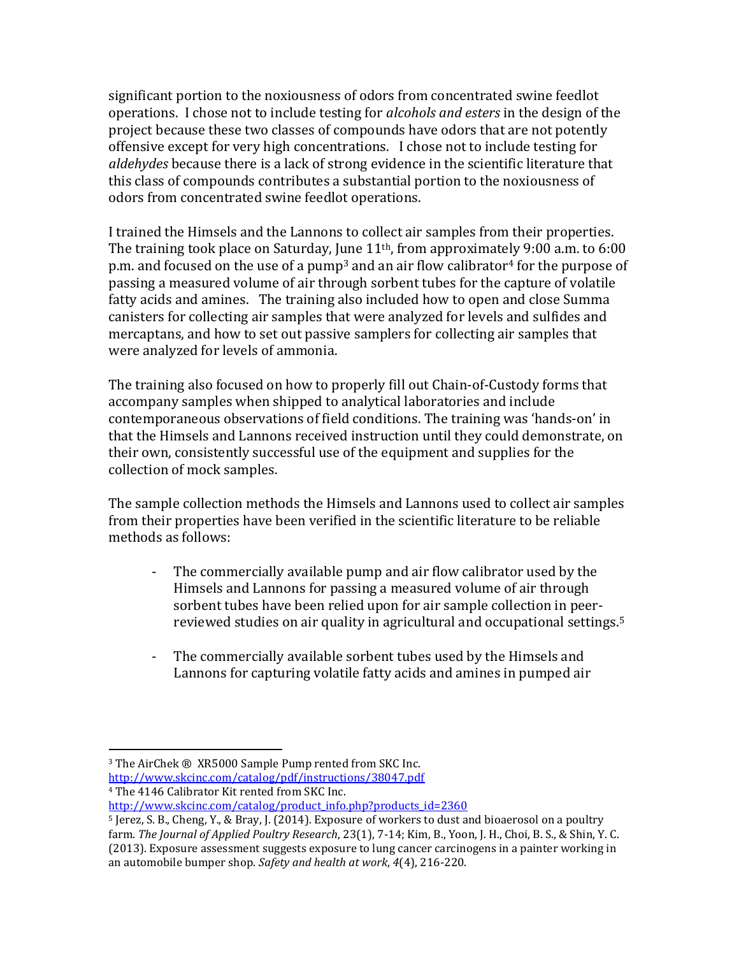significant portion to the noxiousness of odors from concentrated swine feedlot operations. I chose not to include testing for *alcohols and esters* in the design of the project because these two classes of compounds have odors that are not potently offensive except for very high concentrations. I chose not to include testing for *aldehydes* because there is a lack of strong evidence in the scientific literature that this class of compounds contributes a substantial portion to the noxiousness of odors from concentrated swine feedlot operations.

I trained the Himsels and the Lannons to collect air samples from their properties. The training took place on Saturday, June 11<sup>th</sup>, from approximately 9:00 a.m. to 6:00 p.m. and focused on the use of a pump<sup>3</sup> and an air flow calibrator<sup>4</sup> for the purpose of passing a measured volume of air through sorbent tubes for the capture of volatile fatty acids and amines. The training also included how to open and close Summa canisters for collecting air samples that were analyzed for levels and sulfides and mercaptans, and how to set out passive samplers for collecting air samples that were analyzed for levels of ammonia.

The training also focused on how to properly fill out Chain-of-Custody forms that accompany samples when shipped to analytical laboratories and include contemporaneous observations of field conditions. The training was 'hands-on' in that the Himsels and Lannons received instruction until they could demonstrate, on their own, consistently successful use of the equipment and supplies for the collection of mock samples.

The sample collection methods the Himsels and Lannons used to collect air samples from their properties have been verified in the scientific literature to be reliable methods as follows:

- The commercially available pump and air flow calibrator used by the Himsels and Lannons for passing a measured volume of air through sorbent tubes have been relied upon for air sample collection in peerreviewed studies on air quality in agricultural and occupational settings. 5
- The commercially available sorbent tubes used by the Himsels and Lannons for capturing volatile fatty acids and amines in pumped air

 $\overline{a}$ 

<http://www.skcinc.com/catalog/pdf/instructions/38047.pdf> <sup>4</sup> The 4146 Calibrator Kit rented from SKC Inc.

[http://www.skcinc.com/catalog/product\\_info.php?products\\_id=2360](http://www.skcinc.com/catalog/product_info.php?products_id=2360)

<sup>3</sup> The AirChek ® XR5000 Sample Pump rented from SKC Inc.

<sup>5</sup> Jerez, S. B., Cheng, Y., & Bray, J. (2014). Exposure of workers to dust and bioaerosol on a poultry farm. *The Journal of Applied Poultry Research*, 23(1), 7-14; Kim, B., Yoon, J. H., Choi, B. S., & Shin, Y. C. (2013). Exposure assessment suggests exposure to lung cancer carcinogens in a painter working in an automobile bumper shop. *Safety and health at work*, *4*(4), 216-220.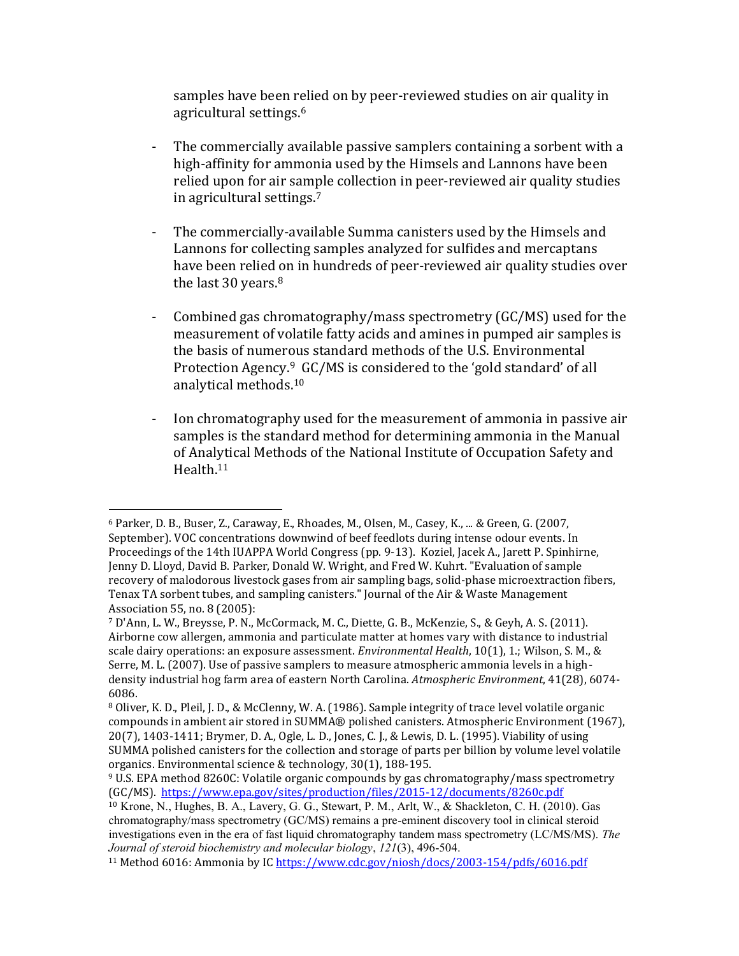samples have been relied on by peer-reviewed studies on air quality in agricultural settings.<sup>6</sup>

- The commercially available passive samplers containing a sorbent with a high-affinity for ammonia used by the Himsels and Lannons have been relied upon for air sample collection in peer-reviewed air quality studies in agricultural settings. 7
- The commercially-available Summa canisters used by the Himsels and Lannons for collecting samples analyzed for sulfides and mercaptans have been relied on in hundreds of peer-reviewed air quality studies over the last 30 years.<sup>8</sup>
- Combined gas chromatography/mass spectrometry (GC/MS) used for the measurement of volatile fatty acids and amines in pumped air samples is the basis of numerous standard methods of the U.S. Environmental Protection Agency.<sup>9</sup> GC/MS is considered to the 'gold standard' of all analytical methods.<sup>10</sup>
- Ion chromatography used for the measurement of ammonia in passive air samples is the standard method for determining ammonia in the Manual of Analytical Methods of the National Institute of Occupation Safety and Health.<sup>11</sup>

 $\overline{a}$ <sup>6</sup> Parker, D. B., Buser, Z., Caraway, E., Rhoades, M., Olsen, M., Casey, K., ... & Green, G. (2007, September). VOC concentrations downwind of beef feedlots during intense odour events. In Proceedings of the 14th IUAPPA World Congress (pp. 9-13). Koziel, Jacek A., Jarett P. Spinhirne, Jenny D. Lloyd, David B. Parker, Donald W. Wright, and Fred W. Kuhrt. "Evaluation of sample recovery of malodorous livestock gases from air sampling bags, solid-phase microextraction fibers, Tenax TA sorbent tubes, and sampling canisters." Journal of the Air & Waste Management Association 55, no. 8 (2005):

<sup>7</sup> D'Ann, L. W., Breysse, P. N., McCormack, M. C., Diette, G. B., McKenzie, S., & Geyh, A. S. (2011). Airborne cow allergen, ammonia and particulate matter at homes vary with distance to industrial scale dairy operations: an exposure assessment. *Environmental Health*, 10(1), 1.; Wilson, S. M., & Serre, M. L. (2007). Use of passive samplers to measure atmospheric ammonia levels in a highdensity industrial hog farm area of eastern North Carolina. *Atmospheric Environment*, 41(28), 6074- 6086.

<sup>8</sup> Oliver, K. D., Pleil, J. D., & McClenny, W. A. (1986). Sample integrity of trace level volatile organic compounds in ambient air stored in SUMMA® polished canisters. Atmospheric Environment (1967), 20(7), 1403-1411; Brymer, D. A., Ogle, L. D., Jones, C. J., & Lewis, D. L. (1995). Viability of using SUMMA polished canisters for the collection and storage of parts per billion by volume level volatile organics. Environmental science & technology, 30(1), 188-195.

<sup>9</sup> U.S. EPA method 8260C: Volatile organic compounds by gas chromatography/mass spectrometry (GC/MS). <https://www.epa.gov/sites/production/files/2015-12/documents/8260c.pdf>

<sup>10</sup> Krone, N., Hughes, B. A., Lavery, G. G., Stewart, P. M., Arlt, W., & Shackleton, C. H. (2010). Gas chromatography/mass spectrometry (GC/MS) remains a pre-eminent discovery tool in clinical steroid investigations even in the era of fast liquid chromatography tandem mass spectrometry (LC/MS/MS). *The Journal of steroid biochemistry and molecular biology*, *121*(3), 496-504.

<sup>11</sup> Method 6016: Ammonia by IC <https://www.cdc.gov/niosh/docs/2003-154/pdfs/6016.pdf>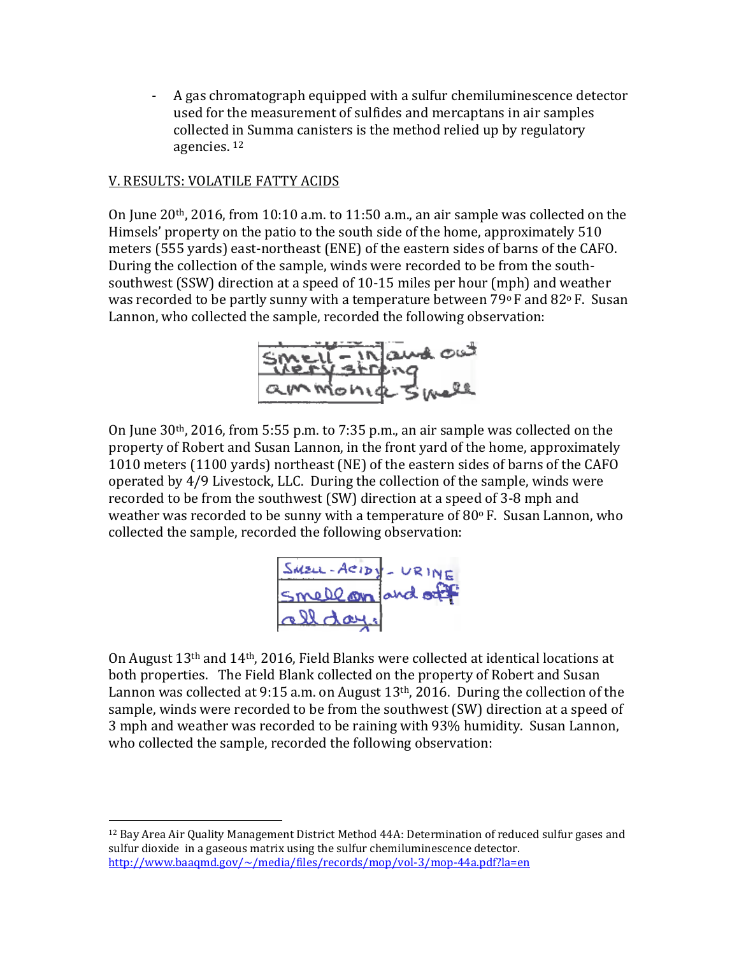- A gas chromatograph equipped with a sulfur chemiluminescence detector used for the measurement of sulfides and mercaptans in air samples collected in Summa canisters is the method relied up by regulatory agencies. <sup>12</sup>

## V. RESULTS: VOLATILE FATTY ACIDS

 $\overline{a}$ 

On June 20th, 2016, from 10:10 a.m. to 11:50 a.m., an air sample was collected on the Himsels' property on the patio to the south side of the home, approximately 510 meters (555 yards) east-northeast (ENE) of the eastern sides of barns of the CAFO. During the collection of the sample, winds were recorded to be from the southsouthwest (SSW) direction at a speed of 10-15 miles per hour (mph) and weather was recorded to be partly sunny with a temperature between  $79^{\circ}$  F and  $82^{\circ}$  F. Susan Lannon, who collected the sample, recorded the following observation:



On June 30th, 2016, from 5:55 p.m. to 7:35 p.m., an air sample was collected on the property of Robert and Susan Lannon, in the front yard of the home, approximately 1010 meters (1100 yards) northeast (NE) of the eastern sides of barns of the CAFO operated by 4/9 Livestock, LLC. During the collection of the sample, winds were recorded to be from the southwest (SW) direction at a speed of 3-8 mph and weather was recorded to be sunny with a temperature of  $80^{\circ}$  F. Susan Lannon, who collected the sample, recorded the following observation:



On August 13th and 14th, 2016, Field Blanks were collected at identical locations at both properties. The Field Blank collected on the property of Robert and Susan Lannon was collected at 9:15 a.m. on August 13<sup>th</sup>, 2016. During the collection of the sample, winds were recorded to be from the southwest (SW) direction at a speed of 3 mph and weather was recorded to be raining with 93% humidity. Susan Lannon, who collected the sample, recorded the following observation:

<sup>12</sup> Bay Area Air Quality Management District Method 44A: Determination of reduced sulfur gases and sulfur dioxide in a gaseous matrix using the sulfur chemiluminescence detector. <http://www.baaqmd.gov/~/media/files/records/mop/vol-3/mop-44a.pdf?la=en>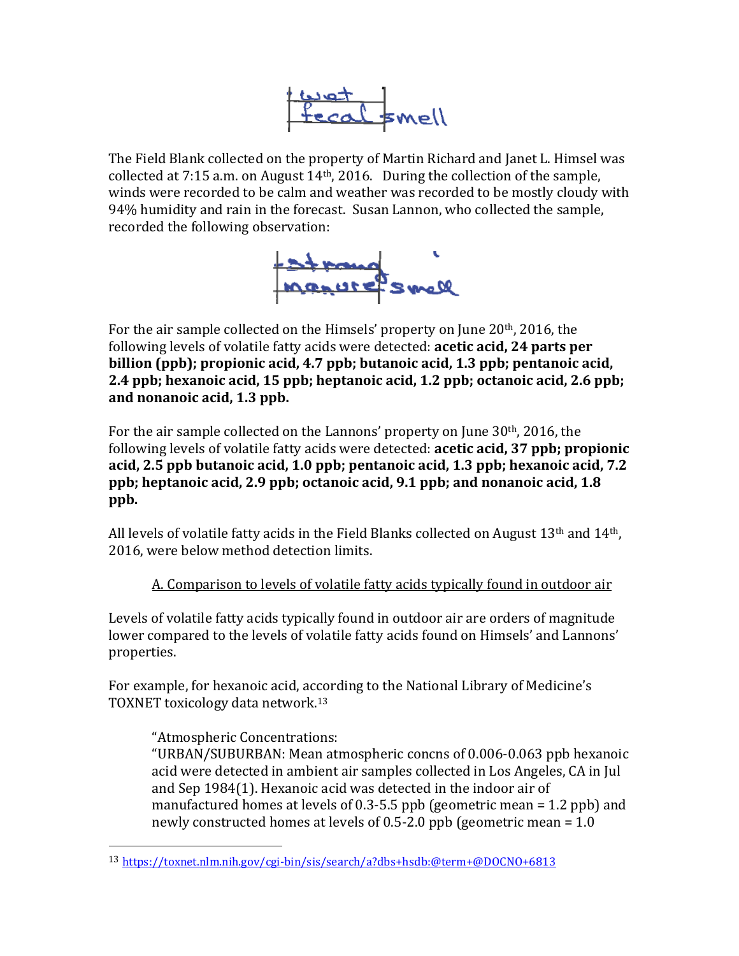

The Field Blank collected on the property of Martin Richard and Janet L. Himsel was collected at 7:15 a.m. on August 14th, 2016. During the collection of the sample, winds were recorded to be calm and weather was recorded to be mostly cloudy with 94% humidity and rain in the forecast. Susan Lannon, who collected the sample, recorded the following observation:



For the air sample collected on the Himsels' property on June 20<sup>th</sup>, 2016, the following levels of volatile fatty acids were detected: **acetic acid, 24 parts per billion (ppb); propionic acid, 4.7 ppb; butanoic acid, 1.3 ppb; pentanoic acid, 2.4 ppb; hexanoic acid, 15 ppb; heptanoic acid, 1.2 ppb; octanoic acid, 2.6 ppb; and nonanoic acid, 1.3 ppb.**

For the air sample collected on the Lannons' property on June 30th, 2016, the following levels of volatile fatty acids were detected: **acetic acid, 37 ppb; propionic acid, 2.5 ppb butanoic acid, 1.0 ppb; pentanoic acid, 1.3 ppb; hexanoic acid, 7.2 ppb; heptanoic acid, 2.9 ppb; octanoic acid, 9.1 ppb; and nonanoic acid, 1.8 ppb.**

All levels of volatile fatty acids in the Field Blanks collected on August  $13<sup>th</sup>$  and  $14<sup>th</sup>$ . 2016, were below method detection limits.

A. Comparison to levels of volatile fatty acids typically found in outdoor air

Levels of volatile fatty acids typically found in outdoor air are orders of magnitude lower compared to the levels of volatile fatty acids found on Himsels' and Lannons' properties.

For example, for hexanoic acid, according to the National Library of Medicine's TOXNET toxicology data network.<sup>13</sup>

# "Atmospheric Concentrations:

l

"URBAN/SUBURBAN: Mean atmospheric concns of 0.006-0.063 ppb hexanoic acid were detected in ambient air samples collected in Los Angeles, CA in Jul and Sep 1984(1). Hexanoic acid was detected in the indoor air of manufactured homes at levels of 0.3-5.5 ppb (geometric mean = 1.2 ppb) and newly constructed homes at levels of 0.5-2.0 ppb (geometric mean = 1.0

<sup>13</sup> <https://toxnet.nlm.nih.gov/cgi-bin/sis/search/a?dbs+hsdb:@term+@DOCNO+6813>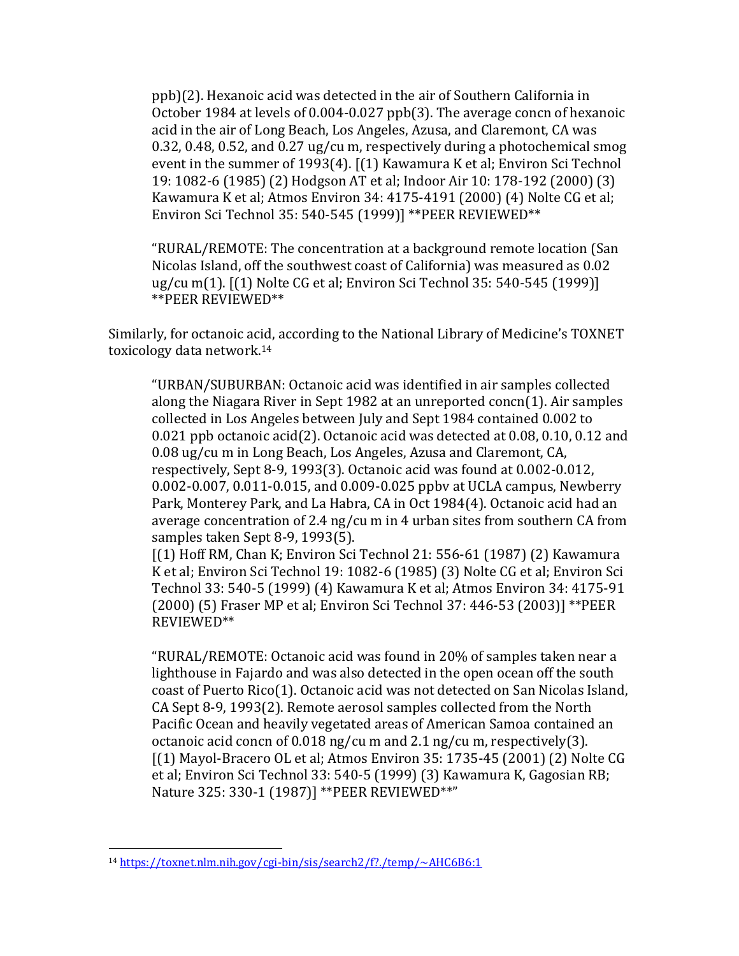ppb)(2). Hexanoic acid was detected in the air of Southern California in October 1984 at levels of 0.004-0.027 ppb(3). The average concn of hexanoic acid in the air of Long Beach, Los Angeles, Azusa, and Claremont, CA was 0.32, 0.48, 0.52, and 0.27 ug/cu m, respectively during a photochemical smog event in the summer of 1993(4). [(1) Kawamura K et al; Environ Sci Technol 19: 1082-6 (1985) (2) Hodgson AT et al; Indoor Air 10: 178-192 (2000) (3) Kawamura K et al; Atmos Environ 34: 4175-4191 (2000) (4) Nolte CG et al; Environ Sci Technol 35: 540-545 (1999)] \*\*PEER REVIEWED\*\*

"RURAL/REMOTE: The concentration at a background remote location (San Nicolas Island, off the southwest coast of California) was measured as 0.02 ug/cu m(1). [(1) Nolte CG et al; Environ Sci Technol 35: 540-545 (1999)] \*\*PEER REVIEWED\*\*

Similarly, for octanoic acid, according to the National Library of Medicine's TOXNET toxicology data network.<sup>14</sup>

"URBAN/SUBURBAN: Octanoic acid was identified in air samples collected along the Niagara River in Sept 1982 at an unreported concn(1). Air samples collected in Los Angeles between July and Sept 1984 contained 0.002 to 0.021 ppb octanoic acid(2). Octanoic acid was detected at 0.08, 0.10, 0.12 and 0.08 ug/cu m in Long Beach, Los Angeles, Azusa and Claremont, CA, respectively, Sept 8-9, 1993(3). Octanoic acid was found at 0.002-0.012, 0.002-0.007, 0.011-0.015, and 0.009-0.025 ppbv at UCLA campus, Newberry Park, Monterey Park, and La Habra, CA in Oct 1984(4). Octanoic acid had an average concentration of 2.4 ng/cu m in 4 urban sites from southern CA from samples taken Sept 8-9, 1993(5).

[(1) Hoff RM, Chan K; Environ Sci Technol 21: 556-61 (1987) (2) Kawamura K et al; Environ Sci Technol 19: 1082-6 (1985) (3) Nolte CG et al; Environ Sci Technol 33: 540-5 (1999) (4) Kawamura K et al; Atmos Environ 34: 4175-91 (2000) (5) Fraser MP et al; Environ Sci Technol 37: 446-53 (2003)] \*\*PEER REVIEWED\*\*

"RURAL/REMOTE: Octanoic acid was found in 20% of samples taken near a lighthouse in Fajardo and was also detected in the open ocean off the south coast of Puerto Rico(1). Octanoic acid was not detected on San Nicolas Island, CA Sept 8-9, 1993(2). Remote aerosol samples collected from the North Pacific Ocean and heavily vegetated areas of American Samoa contained an octanoic acid concn of 0.018 ng/cu m and 2.1 ng/cu m, respectively(3). [(1) Mayol-Bracero OL et al; Atmos Environ 35: 1735-45 (2001) (2) Nolte CG et al; Environ Sci Technol 33: 540-5 (1999) (3) Kawamura K, Gagosian RB; Nature 325: 330-1 (1987)] \*\*PEER REVIEWED\*\*"

l

<sup>14</sup> <https://toxnet.nlm.nih.gov/cgi-bin/sis/search2/f?./temp/~AHC6B6:1>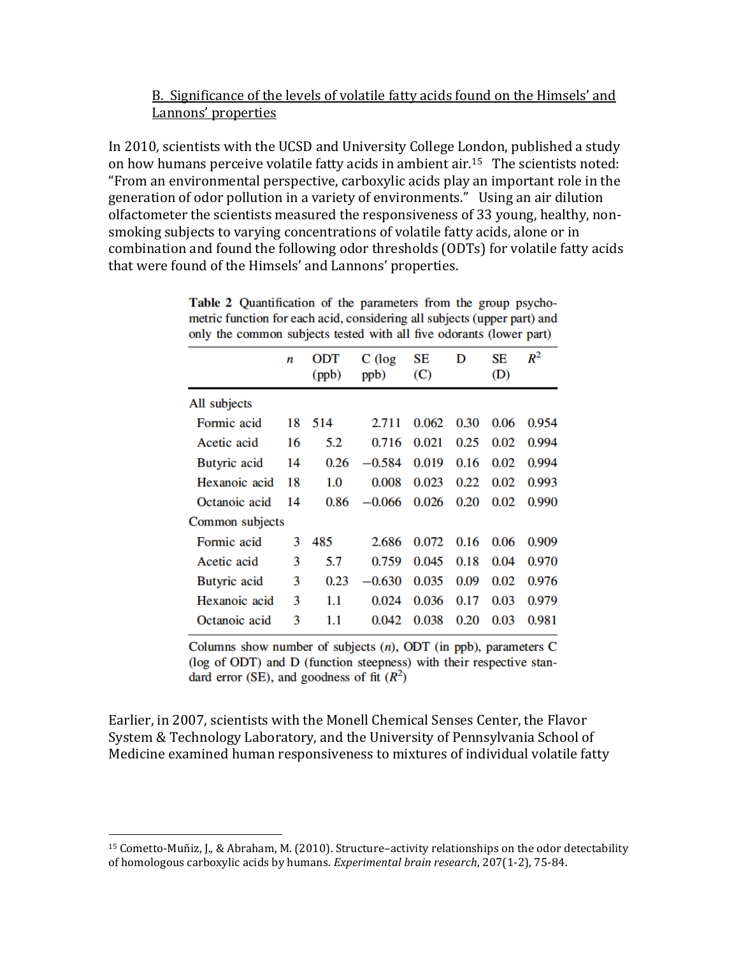### B. Significance of the levels of volatile fatty acids found on the Himsels' and Lannons' properties

In 2010, scientists with the UCSD and University College London, published a study on how humans perceive volatile fatty acids in ambient air.15 The scientists noted: "From an environmental perspective, carboxylic acids play an important role in the generation of odor pollution in a variety of environments." Using an air dilution olfactometer the scientists measured the responsiveness of 33 young, healthy, nonsmoking subjects to varying concentrations of volatile fatty acids, alone or in combination and found the following odor thresholds (ODTs) for volatile fatty acids that were found of the Himsels' and Lannons' properties.

|                 | n  | <b>ODT</b><br>(ppb) | $C$ (log<br>ppb) | SЕ<br>(C) | D    | SЕ<br>(D) | $R^2$ |
|-----------------|----|---------------------|------------------|-----------|------|-----------|-------|
| All subjects    |    |                     |                  |           |      |           |       |
| Formic acid     | 18 | 514                 | 2.711            | 0.062     | 0.30 | 0.06      | 0.954 |
| Acetic acid     | 16 | 5.2                 | 0.716            | 0.021     | 0.25 | 0.02      | 0.994 |
| Butyric acid    | 14 | 0.26                | $-0.584$         | 0.019     | 0.16 | 0.02      | 0.994 |
| Hexanoic acid   | 18 | 1.0                 | 0.008            | 0.023     | 0.22 | 0.02      | 0.993 |
| Octanoic acid   | 14 | 0.86                | $-0.066$         | 0.026     | 0.20 | 0.02      | 0.990 |
| Common subjects |    |                     |                  |           |      |           |       |
| Formic acid     | 3  | 485                 | 2.686            | 0.072     | 0.16 | 0.06      | 0.909 |
| Acetic acid     | 3  | 5.7                 | 0.759            | 0.045     | 0.18 | 0.04      | 0.970 |
| Butyric acid    | 3  | 0.23                | $-0.630$         | 0.035     | 0.09 | 0.02      | 0.976 |
| Hexanoic acid   | 3  | 1.1                 | 0.024            | 0.036     | 0.17 | 0.03      | 0.979 |
| Octanoic acid   | 3  | 1.1                 | 0.042            | 0.038     | 0.20 | 0.03      | 0.981 |
|                 |    |                     |                  |           |      |           |       |

Table 2 Quantification of the parameters from the group psychometric function for each acid, considering all subjects (upper part) and only the common subjects tested with all five odorants (lower part)

Columns show number of subjects  $(n)$ , ODT (in ppb), parameters C (log of ODT) and D (function steepness) with their respective standard error (SE), and goodness of fit  $(R^2)$ 

Earlier, in 2007, scientists with the Monell Chemical Senses Center, the Flavor System & Technology Laboratory, and the University of Pennsylvania School of Medicine examined human responsiveness to mixtures of individual volatile fatty

 $\overline{a}$ 

<sup>15</sup> Cometto-Muñiz, J., & Abraham, M. (2010). Structure–activity relationships on the odor detectability of homologous carboxylic acids by humans. *Experimental brain research*, 207(1-2), 75-84.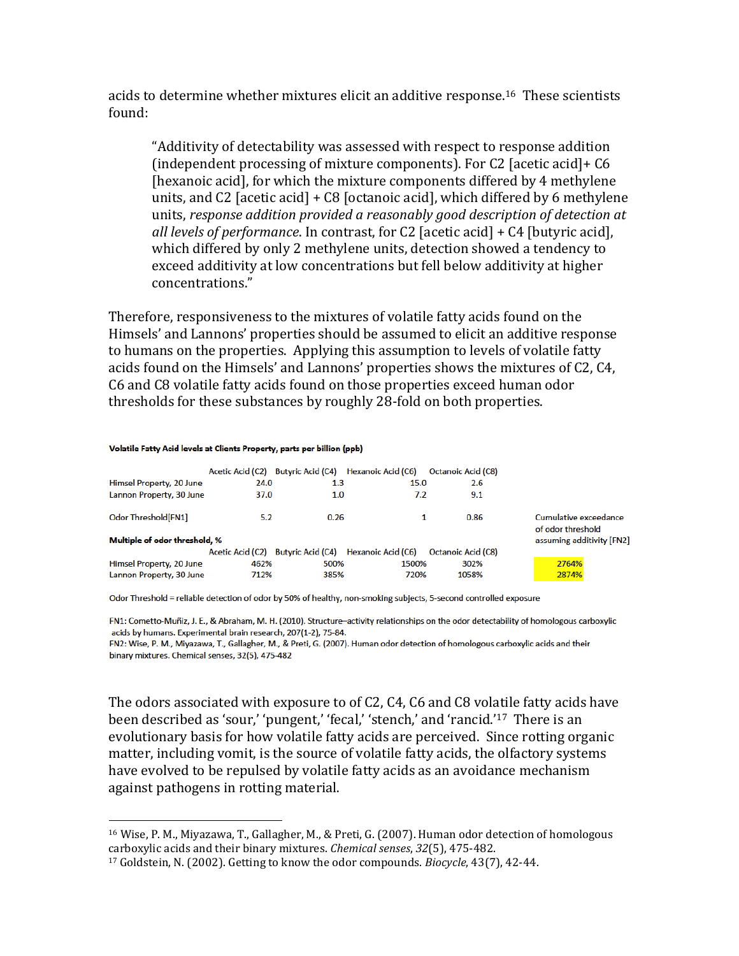acids to determine whether mixtures elicit an additive response. <sup>16</sup> These scientists found:

"Additivity of detectability was assessed with respect to response addition (independent processing of mixture components). For C2 [acetic acid]+ C6 [hexanoic acid], for which the mixture components differed by 4 methylene units, and C2 [acetic acid] + C8 [octanoic acid], which differed by 6 methylene units, *response addition provided a reasonably good description of detection at all levels of performance*. In contrast, for C2 [acetic acid] + C4 [butyric acid], which differed by only 2 methylene units, detection showed a tendency to exceed additivity at low concentrations but fell below additivity at higher concentrations."

Therefore, responsiveness to the mixtures of volatile fatty acids found on the Himsels' and Lannons' properties should be assumed to elicit an additive response to humans on the properties. Applying this assumption to levels of volatile fatty acids found on the Himsels' and Lannons' properties shows the mixtures of C2, C4, C6 and C8 volatile fatty acids found on those properties exceed human odor thresholds for these substances by roughly 28-fold on both properties.

#### Volatile Fatty Acid levels at Clients Property, parts per billion (ppb)

 $\overline{a}$ 

| Himsel Property, 20 June                             | <b>Acetic Acid (C2)</b><br>24.0 | <b>Butyric Acid (C4)</b><br>1.3 | Hexanoic Acid (C6)<br>15.0 | <b>Octanoic Acid (C8)</b><br>2.6 |                                                                         |
|------------------------------------------------------|---------------------------------|---------------------------------|----------------------------|----------------------------------|-------------------------------------------------------------------------|
| Lannon Property, 30 June                             | 37.0                            | 1.0                             | 7.2                        | 9.1                              |                                                                         |
| Odor Threshold[FN1]<br>Multiple of odor threshold, % | 5.2                             | 0.26                            |                            | 0.86                             | Cumulative exceedance<br>of odor threshold<br>assuming additivity [FN2] |
|                                                      | <b>Acetic Acid (C2)</b>         | <b>Butyric Acid (C4)</b>        | Hexanoic Acid (C6)         | <b>Octanoic Acid (C8)</b>        |                                                                         |
| Himsel Property, 20 June<br>Lannon Property, 30 June | 462%<br>712%                    | 500%<br>385%                    | 1500%<br>720%              | 302%<br>1058%                    | 2764%<br>2874%                                                          |

Odor Threshold = reliable detection of odor by 50% of healthy, non-smoking subjects, 5-second controlled exposure

FN1: Cometto-Muñiz, J. E., & Abraham, M. H. (2010). Structure-activity relationships on the odor detectability of homologous carboxylic acids by humans. Experimental brain research, 207(1-2), 75-84.

FN2: Wise, P. M., Miyazawa, T., Gallagher, M., & Preti, G. (2007). Human odor detection of homologous carboxylic acids and their binary mixtures. Chemical senses. 32(5). 475-482

The odors associated with exposure to of C2, C4, C6 and C8 volatile fatty acids have been described as 'sour,' 'pungent,' 'fecal,' 'stench,' and 'rancid.'17 There is an evolutionary basis for how volatile fatty acids are perceived. Since rotting organic matter, including vomit, is the source of volatile fatty acids, the olfactory systems have evolved to be repulsed by volatile fatty acids as an avoidance mechanism against pathogens in rotting material.

<sup>16</sup> Wise, P. M., Miyazawa, T., Gallagher, M., & Preti, G. (2007). Human odor detection of homologous carboxylic acids and their binary mixtures. *Chemical senses*, *32*(5), 475-482.

<sup>17</sup> Goldstein, N. (2002). Getting to know the odor compounds. *Biocycle*, 43(7), 42-44.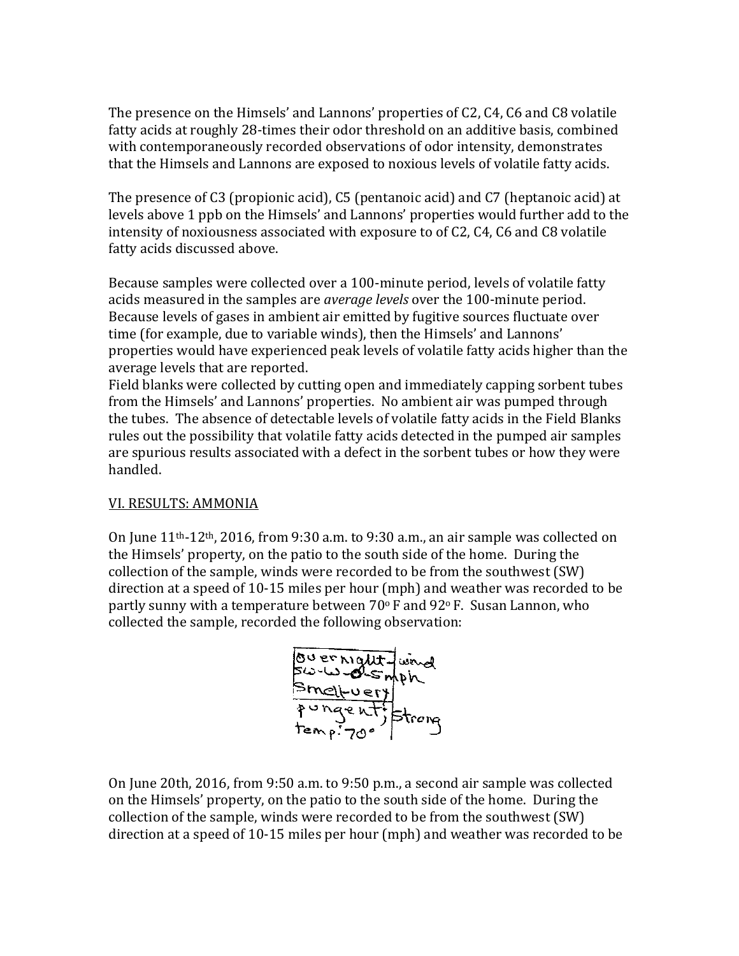The presence on the Himsels' and Lannons' properties of C2, C4, C6 and C8 volatile fatty acids at roughly 28-times their odor threshold on an additive basis, combined with contemporaneously recorded observations of odor intensity, demonstrates that the Himsels and Lannons are exposed to noxious levels of volatile fatty acids.

The presence of C3 (propionic acid), C5 (pentanoic acid) and C7 (heptanoic acid) at levels above 1 ppb on the Himsels' and Lannons' properties would further add to the intensity of noxiousness associated with exposure to of C2, C4, C6 and C8 volatile fatty acids discussed above.

Because samples were collected over a 100-minute period, levels of volatile fatty acids measured in the samples are *average levels* over the 100-minute period. Because levels of gases in ambient air emitted by fugitive sources fluctuate over time (for example, due to variable winds), then the Himsels' and Lannons' properties would have experienced peak levels of volatile fatty acids higher than the average levels that are reported.

Field blanks were collected by cutting open and immediately capping sorbent tubes from the Himsels' and Lannons' properties. No ambient air was pumped through the tubes. The absence of detectable levels of volatile fatty acids in the Field Blanks rules out the possibility that volatile fatty acids detected in the pumped air samples are spurious results associated with a defect in the sorbent tubes or how they were handled.

#### VI. RESULTS: AMMONIA

On June 11th-12th, 2016, from 9:30 a.m. to 9:30 a.m., an air sample was collected on the Himsels' property, on the patio to the south side of the home. During the collection of the sample, winds were recorded to be from the southwest (SW) direction at a speed of 10-15 miles per hour (mph) and weather was recorded to be partly sunny with a temperature between  $70^{\circ}$  F and  $92^{\circ}$  F. Susan Lannon, who collected the sample, recorded the following observation:



On June 20th, 2016, from 9:50 a.m. to 9:50 p.m., a second air sample was collected on the Himsels' property, on the patio to the south side of the home. During the collection of the sample, winds were recorded to be from the southwest (SW) direction at a speed of 10-15 miles per hour (mph) and weather was recorded to be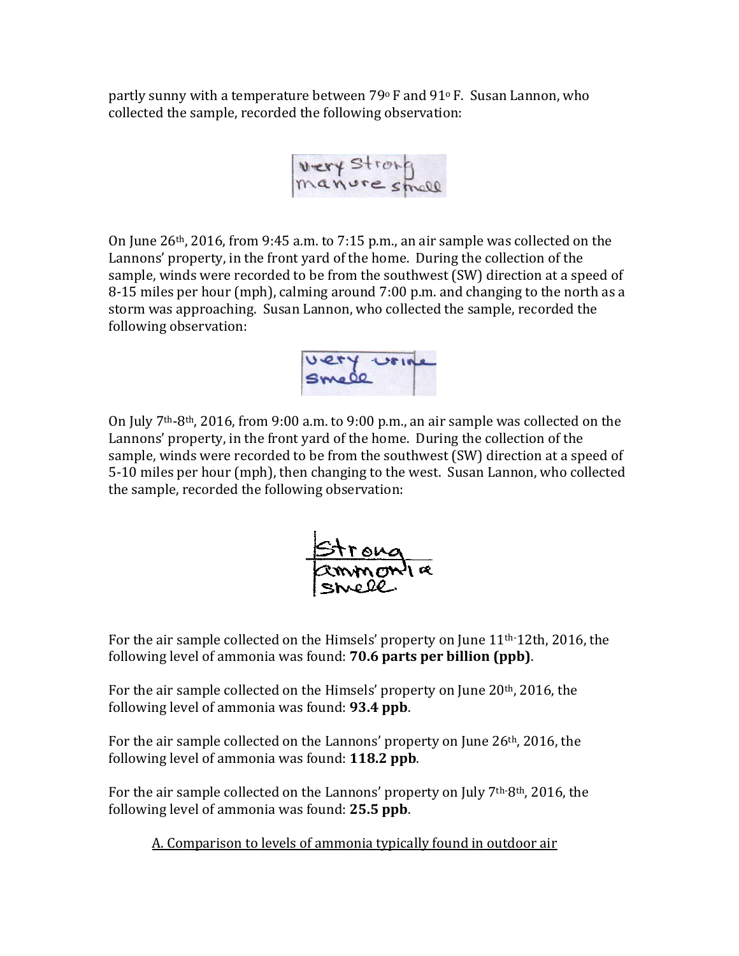partly sunny with a temperature between  $79^{\circ}$  F and  $91^{\circ}$  F. Susan Lannon, who collected the sample, recorded the following observation:

On June 26th, 2016, from 9:45 a.m. to 7:15 p.m., an air sample was collected on the Lannons' property, in the front yard of the home. During the collection of the sample, winds were recorded to be from the southwest (SW) direction at a speed of 8-15 miles per hour (mph), calming around 7:00 p.m. and changing to the north as a storm was approaching. Susan Lannon, who collected the sample, recorded the following observation:



On July 7th-8th, 2016, from 9:00 a.m. to 9:00 p.m., an air sample was collected on the Lannons' property, in the front yard of the home. During the collection of the sample, winds were recorded to be from the southwest (SW) direction at a speed of 5-10 miles per hour (mph), then changing to the west. Susan Lannon, who collected the sample, recorded the following observation:



For the air sample collected on the Himsels' property on June 11th-12th, 2016, the following level of ammonia was found: **70.6 parts per billion (ppb)**.

For the air sample collected on the Himsels' property on June 20<sup>th</sup>, 2016, the following level of ammonia was found: **93.4 ppb**.

For the air sample collected on the Lannons' property on June 26<sup>th</sup>, 2016, the following level of ammonia was found: **118.2 ppb**.

For the air sample collected on the Lannons' property on July  $7<sup>th</sup>8<sup>th</sup>$ , 2016, the following level of ammonia was found: **25.5 ppb**.

A. Comparison to levels of ammonia typically found in outdoor air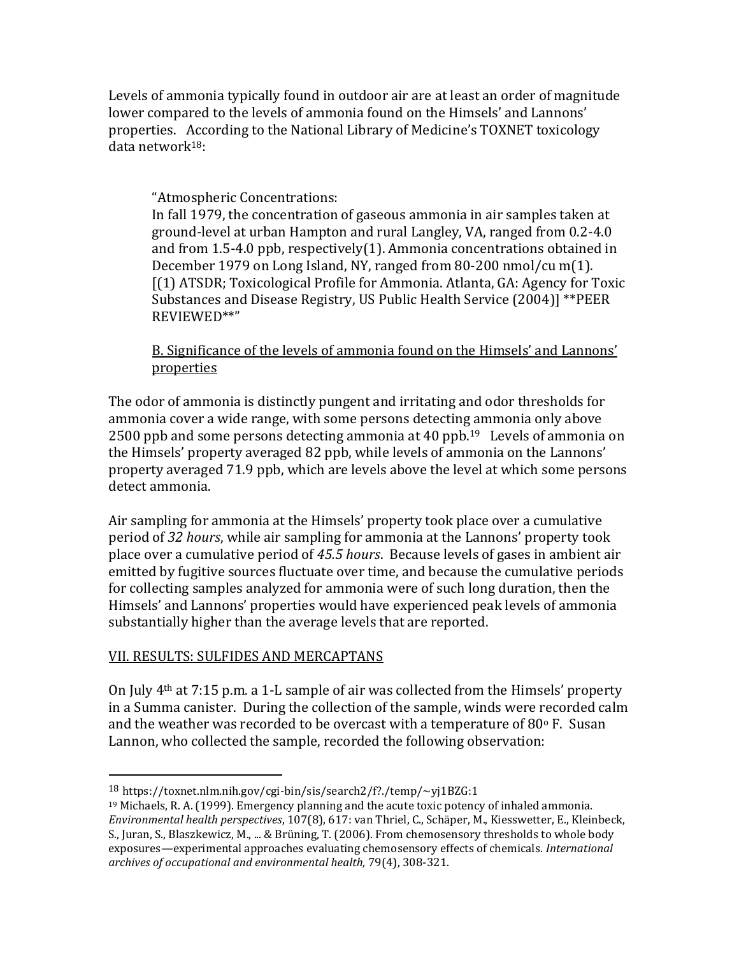Levels of ammonia typically found in outdoor air are at least an order of magnitude lower compared to the levels of ammonia found on the Himsels' and Lannons' properties. According to the National Library of Medicine's TOXNET toxicology data network18:

### "Atmospheric Concentrations:

In fall 1979, the concentration of gaseous ammonia in air samples taken at ground-level at urban Hampton and rural Langley, VA, ranged from 0.2-4.0 and from 1.5-4.0 ppb, respectively(1). Ammonia concentrations obtained in December 1979 on Long Island, NY, ranged from 80-200 nmol/cu m(1). [(1) ATSDR; Toxicological Profile for Ammonia. Atlanta, GA: Agency for Toxic Substances and Disease Registry, US Public Health Service (2004)] \*\*PEER REVIEWED\*\*"

B. Significance of the levels of ammonia found on the Himsels' and Lannons' properties

The odor of ammonia is distinctly pungent and irritating and odor thresholds for ammonia cover a wide range, with some persons detecting ammonia only above 2500 ppb and some persons detecting ammonia at 40 ppb. <sup>19</sup> Levels of ammonia on the Himsels' property averaged 82 ppb, while levels of ammonia on the Lannons' property averaged 71.9 ppb, which are levels above the level at which some persons detect ammonia.

Air sampling for ammonia at the Himsels' property took place over a cumulative period of *32 hours*, while air sampling for ammonia at the Lannons' property took place over a cumulative period of *45.5 hours*. Because levels of gases in ambient air emitted by fugitive sources fluctuate over time, and because the cumulative periods for collecting samples analyzed for ammonia were of such long duration, then the Himsels' and Lannons' properties would have experienced peak levels of ammonia substantially higher than the average levels that are reported.

#### VII. RESULTS: SULFIDES AND MERCAPTANS

 $\overline{a}$ 

On July 4th at 7:15 p.m. a 1-L sample of air was collected from the Himsels' property in a Summa canister. During the collection of the sample, winds were recorded calm and the weather was recorded to be overcast with a temperature of  $80^{\circ}$  F. Susan Lannon, who collected the sample, recorded the following observation:

<sup>18</sup> https://toxnet.nlm.nih.gov/cgi-bin/sis/search2/f?./temp/~yj1BZG:1

 $19$  Michaels, R. A. (1999). Emergency planning and the acute toxic potency of inhaled ammonia. *Environmental health perspectives*, 107(8), 617: van Thriel, C., Schäper, M., Kiesswetter, E., Kleinbeck, S., Juran, S., Blaszkewicz, M., ... & Brüning, T. (2006). From chemosensory thresholds to whole body exposures—experimental approaches evaluating chemosensory effects of chemicals. *International archives of occupational and environmental health,* 79(4), 308-321.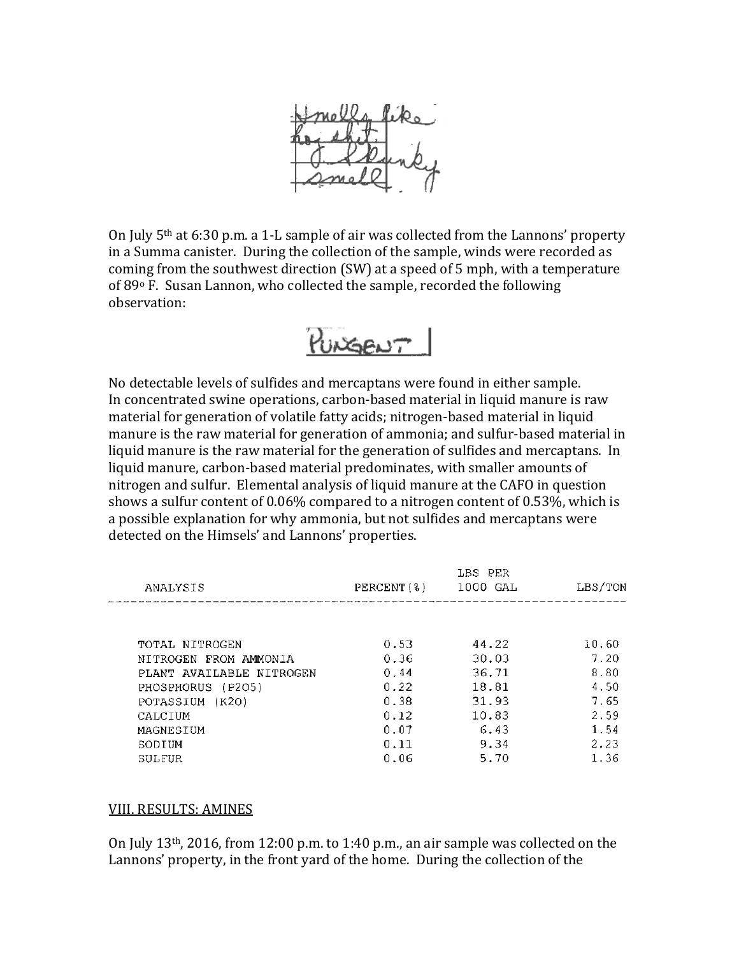

On July 5th at 6:30 p.m. a 1-L sample of air was collected from the Lannons' property in a Summa canister. During the collection of the sample, winds were recorded as coming from the southwest direction (SW) at a speed of 5 mph, with a temperature of 89<sup>o</sup> F. Susan Lannon, who collected the sample, recorded the following observation:



No detectable levels of sulfides and mercaptans were found in either sample. In concentrated swine operations, carbon-based material in liquid manure is raw material for generation of volatile fatty acids; nitrogen-based material in liquid manure is the raw material for generation of ammonia; and sulfur-based material in liquid manure is the raw material for the generation of sulfides and mercaptans. In liquid manure, carbon-based material predominates, with smaller amounts of nitrogen and sulfur. Elemental analysis of liquid manure at the CAFO in question shows a sulfur content of 0.06% compared to a nitrogen content of 0.53%, which is a possible explanation for why ammonia, but not sulfides and mercaptans were detected on the Himsels' and Lannons' properties.

| ANALYSIS                 | PERCENT(8) | LBS PER<br>1000 GAL | LBS/TON |
|--------------------------|------------|---------------------|---------|
|                          |            |                     |         |
| TOTAL NITROGEN           | 0.53       | 44.22               | 10.60   |
| NITROGEN FROM AMMONIA    | 0.36       | 30.03               | 7.20    |
| PLANT AVAILABLE NITROGEN | 0.44       | 36.71               | 8.80    |
| PHOSPHORUS (P2O5)        | 0.22       | 18.81               | 4.50    |
| POTASSIUM (K2O)          | 0.38       | 31.93               | 7.65    |
| CALCIUM                  | 0.12       | 10.83               | 2.59    |
| MAGNESIUM                | 0.07       | 6.43                | 1.54    |
| SODIUM                   | 0.11       | 9.34                | 2.23    |
| SULFUR                   | 0.06       | 5.70                | 1.36    |

#### VIII. RESULTS: AMINES

On July 13th, 2016, from 12:00 p.m. to 1:40 p.m., an air sample was collected on the Lannons' property, in the front yard of the home. During the collection of the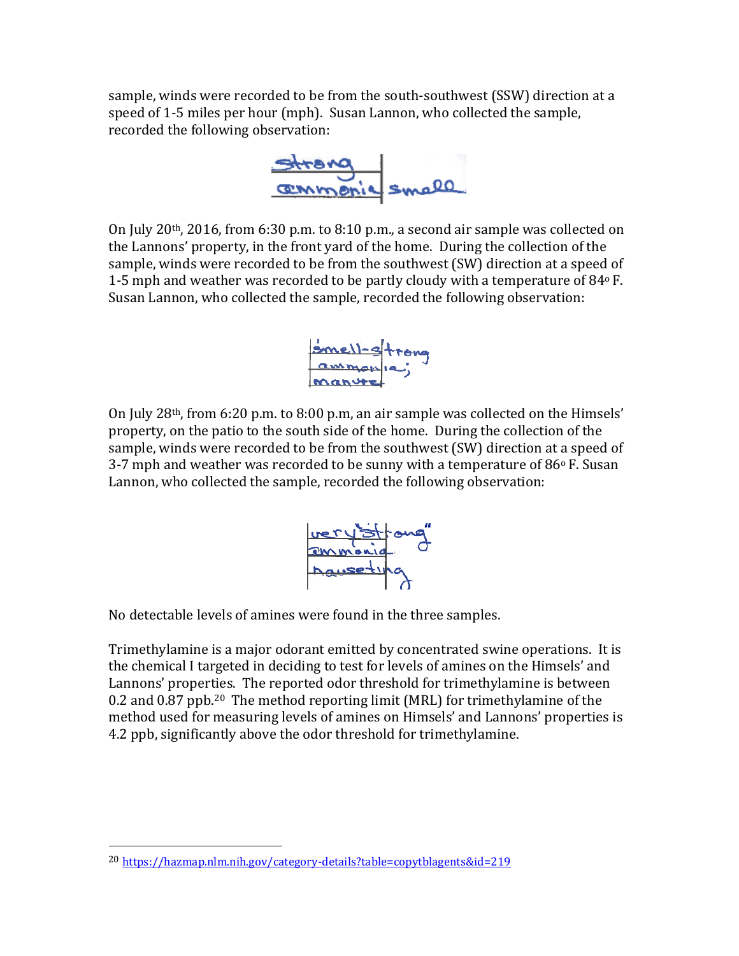sample, winds were recorded to be from the south-southwest (SSW) direction at a speed of 1-5 miles per hour (mph). Susan Lannon, who collected the sample, recorded the following observation:



On July 20th, 2016, from 6:30 p.m. to 8:10 p.m., a second air sample was collected on the Lannons' property, in the front yard of the home. During the collection of the sample, winds were recorded to be from the southwest (SW) direction at a speed of 1-5 mph and weather was recorded to be partly cloudy with a temperature of 84<sup>o</sup> F. Susan Lannon, who collected the sample, recorded the following observation:



On July 28th, from 6:20 p.m. to 8:00 p.m, an air sample was collected on the Himsels' property, on the patio to the south side of the home. During the collection of the sample, winds were recorded to be from the southwest (SW) direction at a speed of 3-7 mph and weather was recorded to be sunny with a temperature of  $86^{\circ}$  F. Susan Lannon, who collected the sample, recorded the following observation:



No detectable levels of amines were found in the three samples.

Trimethylamine is a major odorant emitted by concentrated swine operations. It is the chemical I targeted in deciding to test for levels of amines on the Himsels' and Lannons' properties. The reported odor threshold for trimethylamine is between 0.2 and 0.87 ppb.20 The method reporting limit (MRL) for trimethylamine of the method used for measuring levels of amines on Himsels' and Lannons' properties is 4.2 ppb, significantly above the odor threshold for trimethylamine.

l

<sup>20</sup> <https://hazmap.nlm.nih.gov/category-details?table=copytblagents&id=219>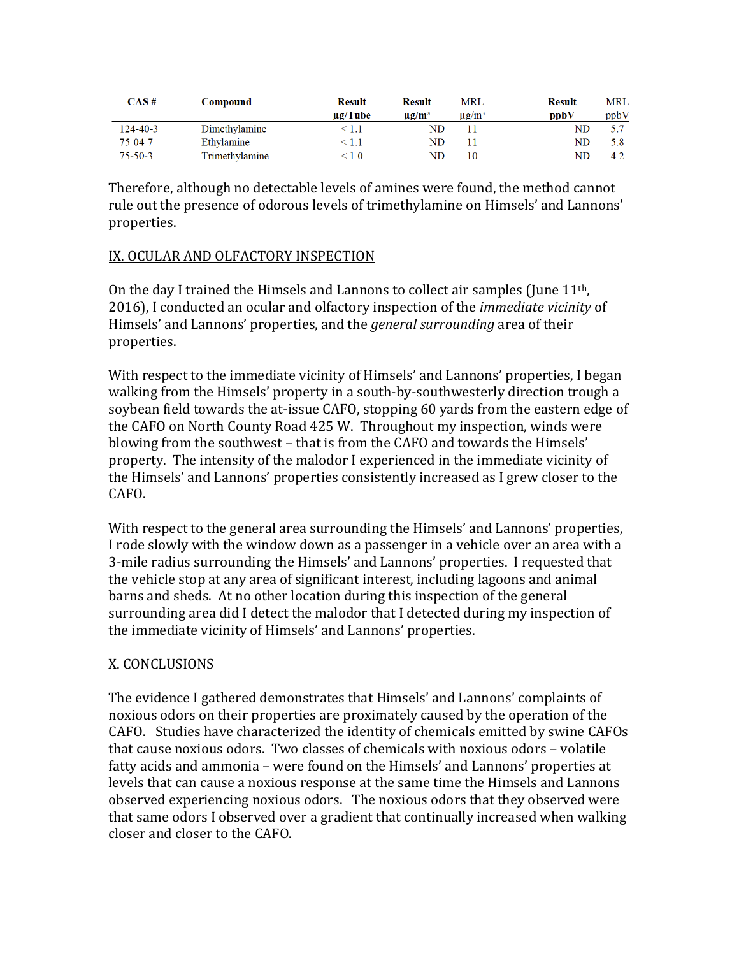| $CAS \#$       | Compound       | <b>Result</b> | <b>Result</b>          | MRL                    | <b>Result</b> | MRL  |
|----------------|----------------|---------------|------------------------|------------------------|---------------|------|
|                |                | $\mu$ g/Tube  | $\mu$ g/m <sup>3</sup> | $\mu$ g/m <sup>3</sup> | ppbV          | ppbV |
| $124 - 40 - 3$ | Dimethylamine  | < 1.1         | ND                     |                        | ND            |      |
| $75 - 04 - 7$  | Ethylamine     | < 1.1         | ND                     |                        | ND            | 5.8  |
| $75 - 50 - 3$  | Trimethylamine | $\leq 1.0$    | ${\rm ND}$             | 10                     | ND            | 4.2  |

Therefore, although no detectable levels of amines were found, the method cannot rule out the presence of odorous levels of trimethylamine on Himsels' and Lannons' properties.

#### IX. OCULAR AND OLFACTORY INSPECTION

On the day I trained the Himsels and Lannons to collect air samples (June  $11<sup>th</sup>$ , 2016), I conducted an ocular and olfactory inspection of the *immediate vicinity* of Himsels' and Lannons' properties, and the *general surrounding* area of their properties.

With respect to the immediate vicinity of Himsels' and Lannons' properties, I began walking from the Himsels' property in a south-by-southwesterly direction trough a soybean field towards the at-issue CAFO, stopping 60 yards from the eastern edge of the CAFO on North County Road 425 W. Throughout my inspection, winds were blowing from the southwest – that is from the CAFO and towards the Himsels' property. The intensity of the malodor I experienced in the immediate vicinity of the Himsels' and Lannons' properties consistently increased as I grew closer to the CAFO.

With respect to the general area surrounding the Himsels' and Lannons' properties, I rode slowly with the window down as a passenger in a vehicle over an area with a 3-mile radius surrounding the Himsels' and Lannons' properties. I requested that the vehicle stop at any area of significant interest, including lagoons and animal barns and sheds. At no other location during this inspection of the general surrounding area did I detect the malodor that I detected during my inspection of the immediate vicinity of Himsels' and Lannons' properties.

#### X. CONCLUSIONS

The evidence I gathered demonstrates that Himsels' and Lannons' complaints of noxious odors on their properties are proximately caused by the operation of the CAFO. Studies have characterized the identity of chemicals emitted by swine CAFOs that cause noxious odors. Two classes of chemicals with noxious odors – volatile fatty acids and ammonia – were found on the Himsels' and Lannons' properties at levels that can cause a noxious response at the same time the Himsels and Lannons observed experiencing noxious odors. The noxious odors that they observed were that same odors I observed over a gradient that continually increased when walking closer and closer to the CAFO.